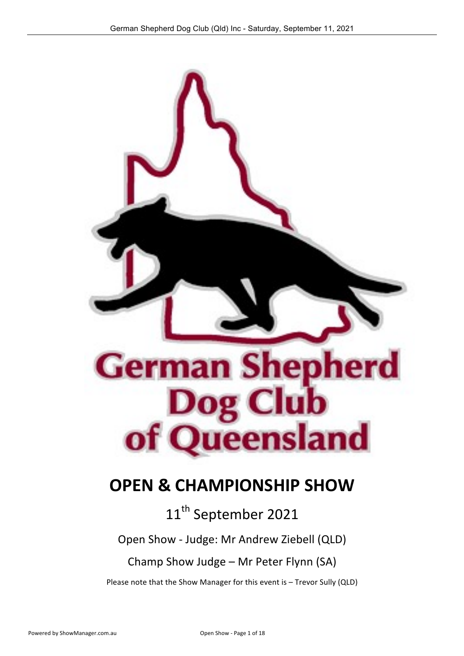

# **OPEN & CHAMPIONSHIP SHOW**

# 11<sup>th</sup> September 2021

Open Show - Judge: Mr Andrew Ziebell (QLD)

### Champ Show Judge - Mr Peter Flynn (SA)

Please note that the Show Manager for this event is - Trevor Sully (QLD)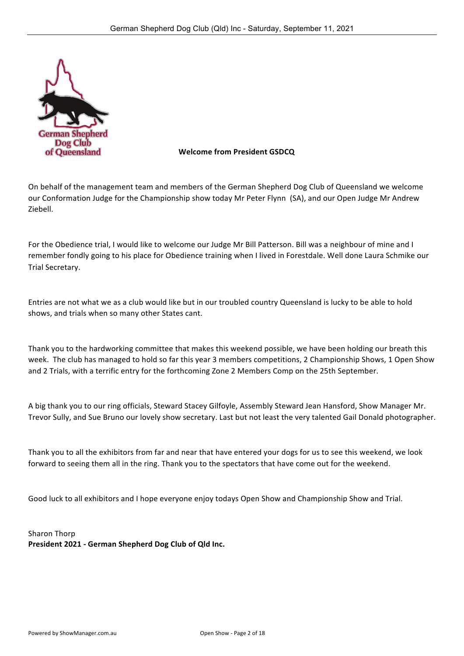

#### **Welcome from President GSDCQ**

On behalf of the management team and members of the German Shepherd Dog Club of Queensland we welcome our Conformation Judge for the Championship show today Mr Peter Flynn (SA), and our Open Judge Mr Andrew Ziebell.

For the Obedience trial, I would like to welcome our Judge Mr Bill Patterson. Bill was a neighbour of mine and I remember fondly going to his place for Obedience training when I lived in Forestdale. Well done Laura Schmike our Trial Secretary.

Entries are not what we as a club would like but in our troubled country Queensland is lucky to be able to hold shows, and trials when so many other States cant.

Thank you to the hardworking committee that makes this weekend possible, we have been holding our breath this week. The club has managed to hold so far this year 3 members competitions, 2 Championship Shows, 1 Open Show and 2 Trials, with a terrific entry for the forthcoming Zone 2 Members Comp on the 25th September.

A big thank you to our ring officials, Steward Stacey Gilfoyle, Assembly Steward Jean Hansford, Show Manager Mr. Trevor Sully, and Sue Bruno our lovely show secretary. Last but not least the very talented Gail Donald photographer.

Thank you to all the exhibitors from far and near that have entered your dogs for us to see this weekend, we look forward to seeing them all in the ring. Thank you to the spectators that have come out for the weekend.

Good luck to all exhibitors and I hope everyone enjoy todays Open Show and Championship Show and Trial.

Sharon Thorp **President 2021 - German Shepherd Dog Club of Qld Inc.**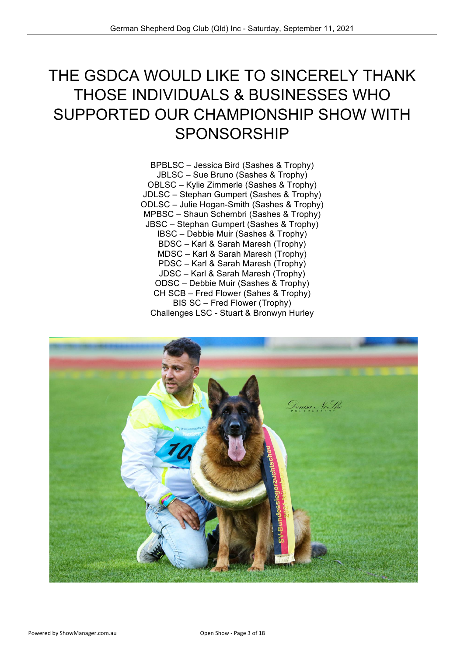# THE GSDCA WOULD LIKE TO SINCERELY THANK THOSE INDIVIDUALS & BUSINESSES WHO SUPPORTED OUR CHAMPIONSHIP SHOW WITH SPONSORSHIP

BPBLSC – Jessica Bird (Sashes & Trophy) JBLSC – Sue Bruno (Sashes & Trophy) OBLSC – Kylie Zimmerle (Sashes & Trophy) JDLSC – Stephan Gumpert (Sashes & Trophy) ODLSC – Julie Hogan-Smith (Sashes & Trophy) MPBSC – Shaun Schembri (Sashes & Trophy) JBSC – Stephan Gumpert (Sashes & Trophy) IBSC – Debbie Muir (Sashes & Trophy) BDSC – Karl & Sarah Maresh (Trophy) MDSC – Karl & Sarah Maresh (Trophy) PDSC – Karl & Sarah Maresh (Trophy) JDSC – Karl & Sarah Maresh (Trophy) ODSC – Debbie Muir (Sashes & Trophy) CH SCB – Fred Flower (Sahes & Trophy) BIS SC – Fred Flower (Trophy) Challenges LSC - Stuart & Bronwyn Hurley

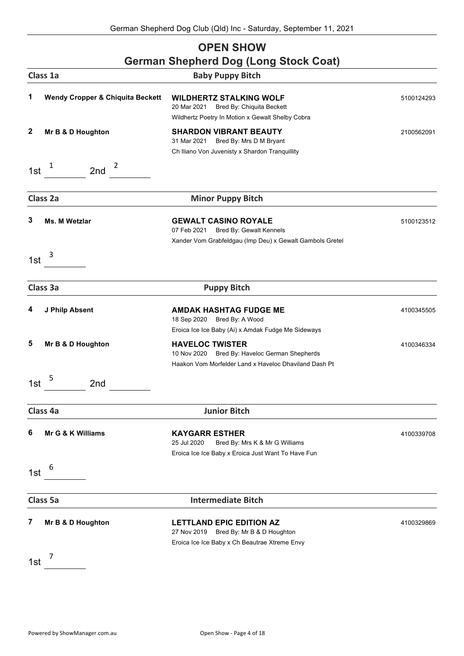#### **OPEN SHOW German Shepherd Dog (Long Stock Coat)**

|              | Class 1a                                    | <b>Baby Puppy Bitch</b>                                                                                                             |            |
|--------------|---------------------------------------------|-------------------------------------------------------------------------------------------------------------------------------------|------------|
| 1            | <b>Wendy Cropper &amp; Chiquita Beckett</b> | <b>WILDHERTZ STALKING WOLF</b><br>20 Mar 2021<br>Bred By: Chiquita Beckett<br>Wildhertz Poetry In Motion x Gewalt Shelby Cobra      | 5100124293 |
| $\mathbf{2}$ | Mr B & D Houghton                           | <b>SHARDON VIBRANT BEAUTY</b><br>31 Mar 2021<br>Bred By: Mrs D M Bryant<br>Ch Iliano Von Juvenisty x Shardon Tranquillity           | 2100562091 |
| 1st          | 1<br>2<br>2nd                               |                                                                                                                                     |            |
|              | Class 2a                                    | <b>Minor Puppy Bitch</b>                                                                                                            |            |
| 3            | Ms. M Wetzlar                               | <b>GEWALT CASINO ROYALE</b><br>07 Feb 2021<br>Bred By: Gewalt Kennels<br>Xander Vom Grabfeldgau (Imp Deu) x Gewalt Gambols Gretel   | 5100123512 |
| 1st          | 3                                           |                                                                                                                                     |            |
|              | Class 3a                                    | <b>Puppy Bitch</b>                                                                                                                  |            |
| 4            | J Philp Absent                              | <b>AMDAK HASHTAG FUDGE ME</b><br>18 Sep 2020<br>Bred By: A Wood<br>Eroica Ice Ice Baby (Ai) x Amdak Fudge Me Sideways               | 4100345505 |
| 5            | Mr B & D Houghton                           | <b>HAVELOC TWISTER</b><br>Bred By: Haveloc German Shepherds<br>10 Nov 2020<br>Haakon Vom Morfelder Land x Haveloc Dhaviland Dash Pt | 4100346334 |
| 1st          | 5<br>2 <sub>nd</sub>                        |                                                                                                                                     |            |
|              | Class 4a                                    | <b>Junior Bitch</b>                                                                                                                 |            |
| 6            | Mr G & K Williams                           | <b>KAYGARR ESTHER</b><br>25 Jul 2020<br>Bred By: Mrs K & Mr G Williams<br>Eroica Ice Ice Baby x Eroica Just Want To Have Fun        | 4100339708 |
| 1st          | 6                                           |                                                                                                                                     |            |
|              | Class 5a                                    | <b>Intermediate Bitch</b>                                                                                                           |            |
| 7            | Mr B & D Houghton                           | <b>LETTLAND EPIC EDITION AZ</b><br>27 Nov 2019<br>Bred By: Mr B & D Houghton<br>Eroica Ice Ice Baby x Ch Beautrae Xtreme Envy       | 4100329869 |
| 1st          | 7                                           |                                                                                                                                     |            |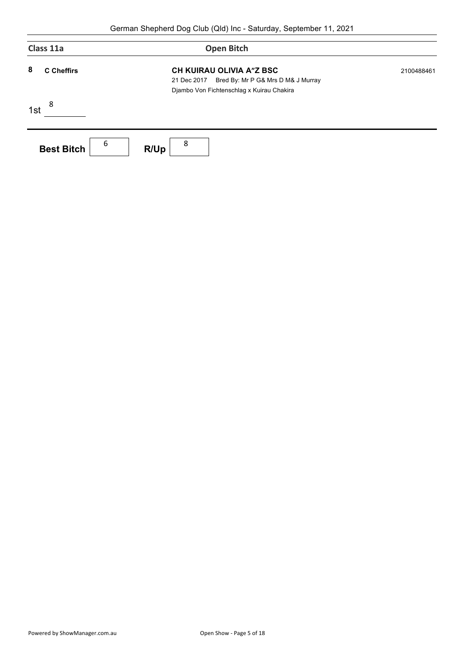| Class 11a              | <b>Open Bitch</b>                                                                                                          |            |
|------------------------|----------------------------------------------------------------------------------------------------------------------------|------------|
| 8<br><b>C</b> Cheffirs | CH KUIRAU OLIVIA A"Z BSC<br>Bred By: Mr P G& Mrs D M& J Murray<br>21 Dec 2017<br>Djambo Von Fichtenschlag x Kuirau Chakira | 2100488461 |
| 8<br>1st               |                                                                                                                            |            |
| 6<br><b>Best Bitch</b> | 8<br>R/Up                                                                                                                  |            |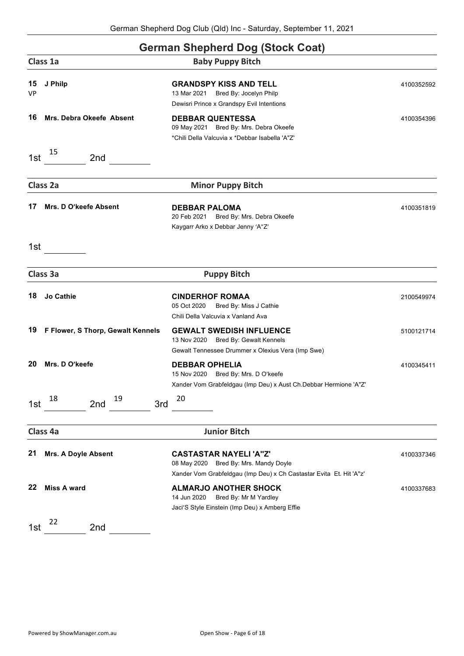#### **German Shepherd Dog (Stock Coat)**

|                 |                                   | $5.11$ an $5.15$ phora $5.5$ g (Stoon Soat)                                                                                                  |            |
|-----------------|-----------------------------------|----------------------------------------------------------------------------------------------------------------------------------------------|------------|
|                 | Class 1a                          | <b>Baby Puppy Bitch</b>                                                                                                                      |            |
| 15<br><b>VP</b> | J Philp                           | <b>GRANDSPY KISS AND TELL</b><br>13 Mar 2021<br>Bred By: Jocelyn Philp<br>Dewisri Prince x Grandspy Evil Intentions                          | 4100352592 |
| 16              | <b>Mrs. Debra Okeefe Absent</b>   | <b>DEBBAR QUENTESSA</b><br>09 May 2021 Bred By: Mrs. Debra Okeefe<br>*Chili Della Valcuvia x *Debbar Isabella 'A"Z'                          | 4100354396 |
| 1st             | 15<br>2 <sub>nd</sub>             |                                                                                                                                              |            |
|                 | Class 2a                          | <b>Minor Puppy Bitch</b>                                                                                                                     |            |
| 17              | Mrs. D O'keefe Absent             | <b>DEBBAR PALOMA</b><br>Bred By: Mrs. Debra Okeefe<br>20 Feb 2021<br>Kaygarr Arko x Debbar Jenny 'A"Z'                                       | 4100351819 |
| 1st             |                                   |                                                                                                                                              |            |
|                 | Class 3a                          | <b>Puppy Bitch</b>                                                                                                                           |            |
| 18              | <b>Jo Cathie</b>                  | <b>CINDERHOF ROMAA</b><br>05 Oct 2020<br>Bred By: Miss J Cathie<br>Chili Della Valcuvia x Vanland Ava                                        | 2100549974 |
| 19              | F Flower, S Thorp, Gewalt Kennels | <b>GEWALT SWEDISH INFLUENCE</b><br>Bred By: Gewalt Kennels<br>13 Nov 2020<br>Gewalt Tennessee Drummer x Olexius Vera (Imp Swe)               | 5100121714 |
| 20              | Mrs. D O'keefe                    | <b>DEBBAR OPHELIA</b><br>Bred By: Mrs. D O'keefe<br>15 Nov 2020<br>Xander Vom Grabfeldgau (Imp Deu) x Aust Ch.Debbar Hermione 'A"Z'          | 4100345411 |
| 1st             | 18<br>19<br>3rd<br>2nd            | 20                                                                                                                                           |            |
|                 | Class 4a                          | <b>Junior Bitch</b>                                                                                                                          |            |
| 21              | Mrs. A Doyle Absent               | <b>CASTASTAR NAYELI'A"Z'</b><br>08 May 2020 Bred By: Mrs. Mandy Doyle<br>Xander Vom Grabfeldgau (Imp Deu) x Ch Castastar Evita Et. Hit 'A"z' | 4100337346 |
| 22              | <b>Miss A ward</b>                | <b>ALMARJO ANOTHER SHOCK</b><br>14 Jun 2020<br>Bred By: Mr M Yardley<br>Jaci'S Style Einstein (Imp Deu) x Amberg Effie                       | 4100337683 |
| 1st             | 22<br>2 <sub>nd</sub>             |                                                                                                                                              |            |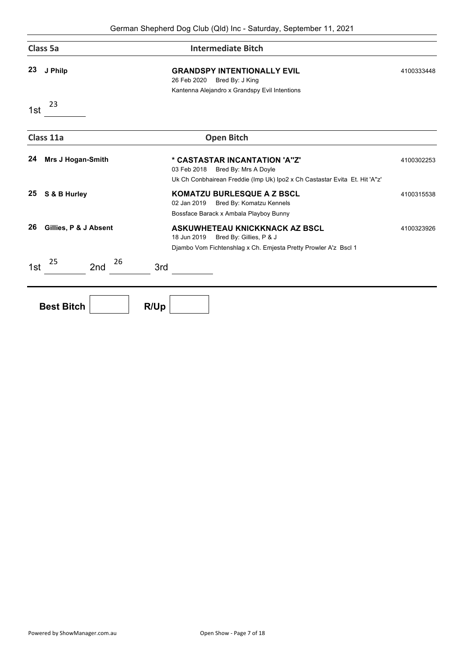|     | Class 5a                 | <b>Intermediate Bitch</b>                                                                                                                          |            |
|-----|--------------------------|----------------------------------------------------------------------------------------------------------------------------------------------------|------------|
| 23  | J Philp                  | <b>GRANDSPY INTENTIONALLY EVIL</b><br>26 Feb 2020<br>Bred By: J King<br>Kantenna Alejandro x Grandspy Evil Intentions                              | 4100333448 |
| 1st | 23                       |                                                                                                                                                    |            |
|     | Class 11a                | <b>Open Bitch</b>                                                                                                                                  |            |
| 24  | <b>Mrs J Hogan-Smith</b> | * CASTASTAR INCANTATION 'A"Z"<br>03 Feb 2018<br>Bred By: Mrs A Doyle<br>Uk Ch Conbhairean Freddie (Imp Uk) Ipo2 x Ch Castastar Evita Et. Hit 'A"z' | 4100302253 |
| 25  | S & B Hurley             | <b>KOMATZU BURLESQUE A Z BSCL</b><br>02 Jan 2019<br>Bred By: Komatzu Kennels<br>Bossface Barack x Ambala Playboy Bunny                             | 4100315538 |
| 26  | Gillies, P & J Absent    | ASKUWHETEAU KNICKKNACK AZ BSCL<br>18 Jun 2019<br>Bred By: Gillies, P & J<br>Djambo Vom Fichtenshlag x Ch. Emjesta Pretty Prowler A'z Bscl 1        | 4100323926 |
| 1st | 26<br>25<br>2nd          | 3rd                                                                                                                                                |            |
|     | <b>Best Bitch</b>        | R/Up                                                                                                                                               |            |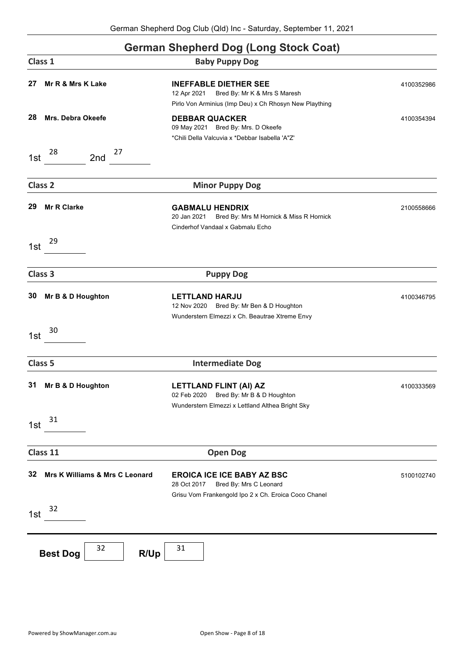| <b>German Shepherd Dog (Long Stock Coat)</b> |  |  |  |
|----------------------------------------------|--|--|--|
|                                              |  |  |  |

| Class 1                              | Ochhan Onephera Dog (Long Olock Oodl)<br><b>Baby Puppy Dog</b>                                                                        |            |
|--------------------------------------|---------------------------------------------------------------------------------------------------------------------------------------|------------|
| 27<br>Mr R & Mrs K Lake              | <b>INEFFABLE DIETHER SEE</b><br>12 Apr 2021<br>Bred By: Mr K & Mrs S Maresh<br>Pirlo Von Arminius (Imp Deu) x Ch Rhosyn New Plaything | 4100352986 |
| 28<br>Mrs. Debra Okeefe              | <b>DEBBAR QUACKER</b><br>09 May 2021 Bred By: Mrs. D Okeefe<br>*Chili Della Valcuvia x *Debbar Isabella 'A"Z'                         | 4100354394 |
| 28<br>27<br>2nd<br>1st               |                                                                                                                                       |            |
| Class <sub>2</sub>                   | <b>Minor Puppy Dog</b>                                                                                                                |            |
| 29<br><b>Mr R Clarke</b>             | <b>GABMALU HENDRIX</b><br>20 Jan 2021<br>Bred By: Mrs M Hornick & Miss R Hornick<br>Cinderhof Vandaal x Gabmalu Echo                  | 2100558666 |
| 29<br>1st                            |                                                                                                                                       |            |
| Class 3                              | <b>Puppy Dog</b>                                                                                                                      |            |
| 30<br>Mr B & D Houghton              | <b>LETTLAND HARJU</b><br>12 Nov 2020 Bred By: Mr Ben & D Houghton<br>Wunderstern Elmezzi x Ch. Beautrae Xtreme Envy                   | 4100346795 |
| 30<br>1st                            |                                                                                                                                       |            |
| Class 5                              | <b>Intermediate Dog</b>                                                                                                               |            |
| 31<br>Mr B & D Houghton              | LETTLAND FLINT (AI) AZ<br>02 Feb 2020<br>Bred By: Mr B & D Houghton<br>Wunderstern Elmezzi x Lettland Althea Bright Sky               | 4100333569 |
| 31<br>1st                            |                                                                                                                                       |            |
| Class 11                             | <b>Open Dog</b>                                                                                                                       |            |
| 32<br>Mrs K Williams & Mrs C Leonard | <b>EROICA ICE ICE BABY AZ BSC</b><br>Bred By: Mrs C Leonard<br>28 Oct 2017<br>Grisu Vom Frankengold Ipo 2 x Ch. Eroica Coco Chanel    | 5100102740 |
| 32<br>1st                            |                                                                                                                                       |            |
| 32<br>R/Up<br><b>Best Dog</b>        | 31                                                                                                                                    |            |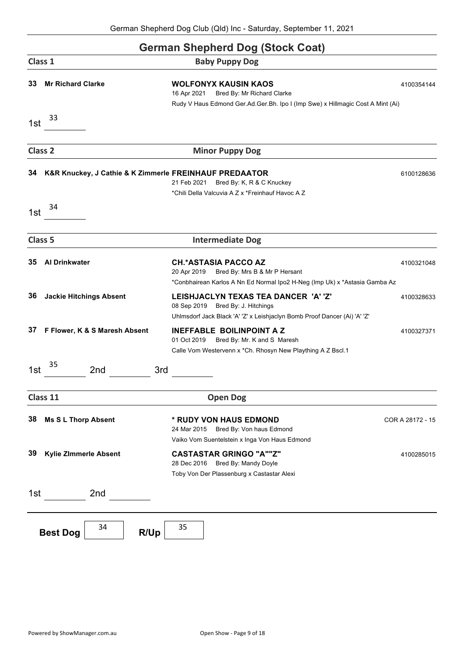### **German Shepherd Dog (Stock Coat) Class 1 Baby Puppy Dog 33 Mr Richard Clarke WOLFONYX KAUSIN KAOS** 4100354144 16 Apr 2021 Bred By: Mr Richard Clarke Rudy V Haus Edmond Ger.Ad.Ger.Bh. Ipo I (Imp Swe) x Hillmagic Cost A Mint (Ai) 1st  $33$ **Class 2 Minor Puppy Dog 34 K&R Knuckey, J Cathie & K Zimmerle FREINHAUF PREDAATOR** 6100128636 21 Feb 2021 Bred By: K, R & C Knuckey \*Chili Della Valcuvia A Z x \*Freinhauf Havoc A Z 1st  $34$ **Class 5 Intermediate Dog 35 Al Drinkwater CH.\*ASTASIA PACCO AZ** 4100321048 20 Apr 2019 Bred By: Mrs B & Mr P Hersant \*Conbhairean Karlos A Nn Ed Normal Ipo2 H-Neg (Imp Uk) x \*Astasia Gamba Az **36 Jackie Hitchings Absent LEISHJACLYN TEXAS TEA DANCER 'A' 'Z'** 4100328633 08 Sep 2019 Bred By: J. Hitchings Uhlmsdorf Jack Black 'A' 'Z' x Leishjaclyn Bomb Proof Dancer (Ai) 'A' 'Z' **37 F Flower, K & S Maresh Absent INEFFABLE BOILINPOINT A Z** 4100327371 01 Oct 2019 Bred By: Mr. K and S Maresh Calle Vom Westervenn x \*Ch. Rhosyn New Plaything A Z Bscl.1 1st  $\frac{35}{2}$  2nd 3rd **Class 11 Open Dog 38 Ms S L Thorp Absent \* RUDY VON HAUS EDMOND** COR A 28172 - 15 24 Mar 2015 Bred By: Von haus Edmond Vaiko Vom Suentelstein x Inga Von Haus Edmond **39 Kylie ZImmerle Absent CASTASTAR GRINGO "A""Z"** 4100285015 28 Dec 2016 Bred By: Mandy Doyle Toby Von Der Plassenburg x Castastar Alexi 1st 2nd **Best Dog**  $34$  **R/Up**  $35$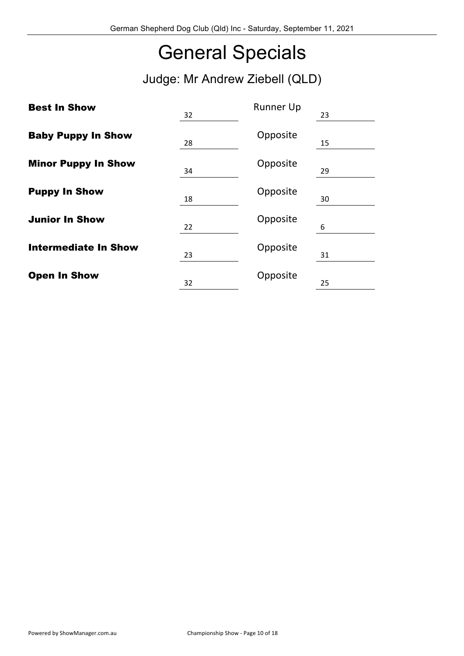# General Specials

Judge: Mr Andrew Ziebell (QLD)

| <b>Best In Show</b>         | 32 | <b>Runner Up</b> | 23 |
|-----------------------------|----|------------------|----|
| <b>Baby Puppy In Show</b>   | 28 | Opposite         | 15 |
| <b>Minor Puppy In Show</b>  | 34 | Opposite         | 29 |
| <b>Puppy In Show</b>        | 18 | Opposite         | 30 |
| <b>Junior In Show</b>       | 22 | Opposite         | 6  |
| <b>Intermediate In Show</b> | 23 | Opposite         | 31 |
| <b>Open In Show</b>         | 32 | Opposite         | 25 |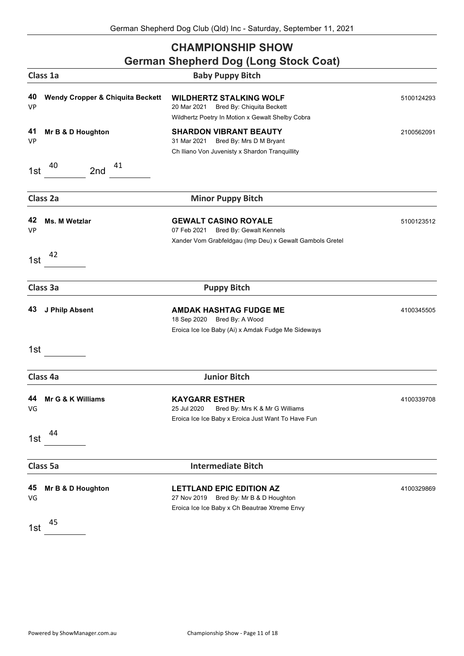### **CHAMPIONSHIP SHOW**

| <b>German Shepherd Dog (Long Stock Coat)</b> |  |
|----------------------------------------------|--|
| <b>Baby Puppy Bitch</b>                      |  |
|                                              |  |

| 40<br><b>VP</b> | <b>Wendy Cropper &amp; Chiquita Beckett</b> | <b>WILDHERTZ STALKING WOLF</b><br>Bred By: Chiquita Beckett<br>20 Mar 2021<br>Wildhertz Poetry In Motion x Gewalt Shelby Cobra    | 5100124293 |
|-----------------|---------------------------------------------|-----------------------------------------------------------------------------------------------------------------------------------|------------|
| 41<br><b>VP</b> | Mr B & D Houghton                           | <b>SHARDON VIBRANT BEAUTY</b><br>31 Mar 2021<br>Bred By: Mrs D M Bryant<br>Ch Iliano Von Juvenisty x Shardon Tranquillity         | 2100562091 |
| 1st             | 41<br>40<br>2nd                             |                                                                                                                                   |            |
|                 | Class 2a                                    | <b>Minor Puppy Bitch</b>                                                                                                          |            |
| 42<br>VP        | <b>Ms. M Wetzlar</b>                        | <b>GEWALT CASINO ROYALE</b><br>07 Feb 2021<br>Bred By: Gewalt Kennels<br>Xander Vom Grabfeldgau (Imp Deu) x Gewalt Gambols Gretel | 5100123512 |
| 1st             | 42                                          |                                                                                                                                   |            |
|                 | Class 3a                                    | <b>Puppy Bitch</b>                                                                                                                |            |
| 43              | J Philp Absent                              | <b>AMDAK HASHTAG FUDGE ME</b><br>18 Sep 2020 Bred By: A Wood<br>Eroica Ice Ice Baby (Ai) x Amdak Fudge Me Sideways                | 4100345505 |
| 1st             |                                             |                                                                                                                                   |            |
|                 | Class 4a                                    | <b>Junior Bitch</b>                                                                                                               |            |
| 44<br>VG        | Mr G & K Williams                           | <b>KAYGARR ESTHER</b><br>25 Jul 2020<br>Bred By: Mrs K & Mr G Williams<br>Eroica Ice Ice Baby x Eroica Just Want To Have Fun      | 4100339708 |
| 1st             | 44                                          |                                                                                                                                   |            |
|                 | Class 5a                                    | <b>Intermediate Bitch</b>                                                                                                         |            |
| 45<br>VG        | Mr B & D Houghton                           | <b>LETTLAND EPIC EDITION AZ</b><br>Bred By: Mr B & D Houghton<br>27 Nov 2019<br>Eroica Ice Ice Baby x Ch Beautrae Xtreme Envy     | 4100329869 |
| 1st             | 45                                          |                                                                                                                                   |            |

**Class 1a**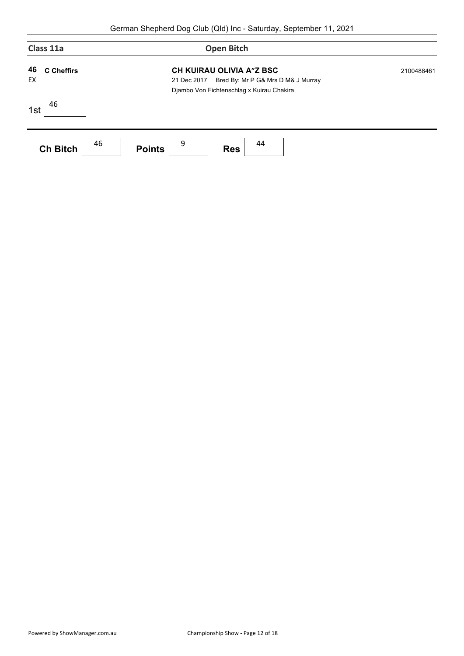|          | Class 11a                                                                                                                                              | <b>Open Bitch</b>                      |            |
|----------|--------------------------------------------------------------------------------------------------------------------------------------------------------|----------------------------------------|------------|
| 46<br>EX | <b>CH KUIRAU OLIVIA A"Z BSC</b><br><b>C</b> Cheffirs<br>Bred By: Mr P G& Mrs D M& J Murray<br>21 Dec 2017<br>Djambo Von Fichtenschlag x Kuirau Chakira |                                        | 2100488461 |
| 1st      | 46                                                                                                                                                     |                                        |            |
|          | 46<br><b>Ch Bitch</b>                                                                                                                                  | 9<br>44<br><b>Points</b><br><b>Res</b> |            |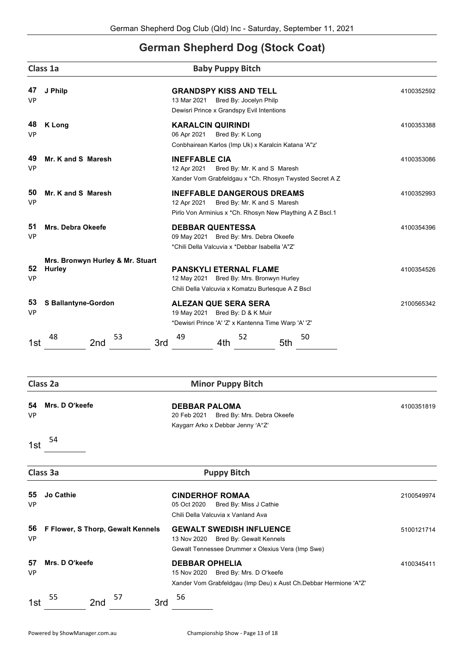### **German Shepherd Dog (Stock Coat)**

|                 | Class 1a                                   | <b>Baby Puppy Bitch</b>                                                                                                                      |            |
|-----------------|--------------------------------------------|----------------------------------------------------------------------------------------------------------------------------------------------|------------|
| 47<br><b>VP</b> | J Philp                                    | <b>GRANDSPY KISS AND TELL</b><br>13 Mar 2021 Bred By: Jocelyn Philp<br>Dewisri Prince x Grandspy Evil Intentions                             | 4100352592 |
| 48<br><b>VP</b> | <b>K</b> Long                              | <b>KARALCIN QUIRINDI</b><br>06 Apr 2021<br>Bred By: K Long<br>Conbhairean Karlos (Imp Uk) x Karalcin Katana 'A"z'                            | 4100353388 |
| 49<br><b>VP</b> | Mr. K and S Maresh                         | <b>INEFFABLE CIA</b><br>12 Apr 2021<br>Bred By: Mr. K and S Maresh<br>Xander Vom Grabfeldgau x *Ch. Rhosyn Twysted Secret A Z                | 4100353086 |
| 50<br><b>VP</b> | Mr. K and S Maresh                         | <b>INEFFABLE DANGEROUS DREAMS</b><br>12 Apr 2021<br>Bred By: Mr. K and S Maresh<br>Pirlo Von Arminius x *Ch. Rhosyn New Plaything A Z Bscl.1 | 4100352993 |
| 51<br><b>VP</b> | <b>Mrs. Debra Okeefe</b>                   | <b>DEBBAR QUENTESSA</b><br>09 May 2021 Bred By: Mrs. Debra Okeefe<br>*Chili Della Valcuvia x *Debbar Isabella 'A"Z'                          | 4100354396 |
| 52<br><b>VP</b> | Mrs. Bronwyn Hurley & Mr. Stuart<br>Hurley | <b>PANSKYLI ETERNAL FLAME</b><br>12 May 2021 Bred By: Mrs. Bronwyn Hurley<br>Chili Della Valcuvia x Komatzu Burlesque A Z Bscl               | 4100354526 |
| 53<br><b>VP</b> | <b>S Ballantyne-Gordon</b>                 | <b>ALEZAN QUE SERA SERA</b><br>19 May 2021 Bred By: D & K Muir<br>*Dewisri Prince 'A' 'Z' x Kantenna Time Warp 'A' 'Z'                       | 2100565342 |
| 1st             | 53<br>48<br>2nd<br>3rd                     | 49<br>52<br>50<br>4th<br>5th                                                                                                                 |            |
|                 | Class 2a                                   | <b>Minor Puppy Bitch</b>                                                                                                                     |            |
| 54<br><b>VP</b> | Mrs. D O'keefe                             | <b>DEBBAR PALOMA</b><br>Bred By: Mrs. Debra Okeefe<br>20 Feb 2021<br>Kaygarr Arko x Debbar Jenny 'A"Z'                                       | 4100351819 |
| 1st             | 54                                         |                                                                                                                                              |            |
|                 | Class 3a                                   | <b>Puppy Bitch</b>                                                                                                                           |            |
| 55<br><b>VP</b> | <b>Jo Cathie</b>                           | <b>CINDERHOF ROMAA</b><br>05 Oct 2020<br>Bred By: Miss J Cathie<br>Chili Della Valcuvia x Vanland Ava                                        | 2100549974 |
| 56<br><b>VP</b> | F Flower, S Thorp, Gewalt Kennels          | <b>GEWALT SWEDISH INFLUENCE</b><br>13 Nov 2020 Bred By: Gewalt Kennels<br>Gewalt Tennessee Drummer x Olexius Vera (Imp Swe)                  | 5100121714 |
| 57<br><b>VP</b> | Mrs. D O'keefe                             | <b>DEBBAR OPHELIA</b><br>Bred By: Mrs. D O'keefe<br>15 Nov 2020<br>Xander Vom Grabfeldgau (Imp Deu) x Aust Ch.Debbar Hermione 'A"Z'          | 4100345411 |
| 1st             | 55<br>57<br>3rd<br>2nd                     | 56                                                                                                                                           |            |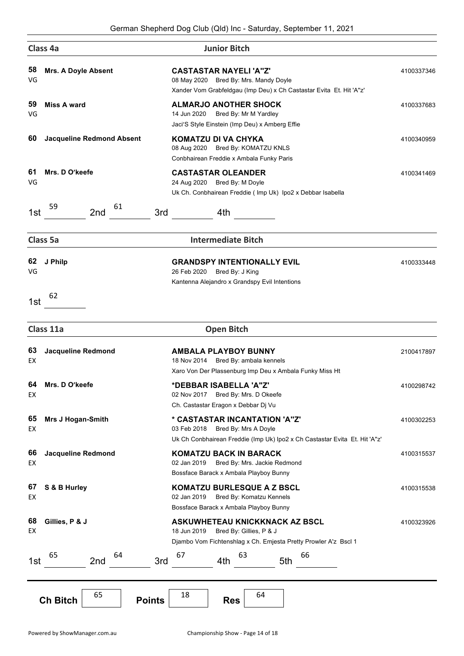|           | Class 4a                               | <b>Junior Bitch</b>                                                                                                                                |            |
|-----------|----------------------------------------|----------------------------------------------------------------------------------------------------------------------------------------------------|------------|
| 58<br>VG  | <b>Mrs. A Doyle Absent</b>             | <b>CASTASTAR NAYELI 'A"Z'</b><br>08 May 2020 Bred By: Mrs. Mandy Doyle<br>Xander Vom Grabfeldgau (Imp Deu) x Ch Castastar Evita Et. Hit 'A"z'      | 4100337346 |
| 59<br>VG  | <b>Miss A ward</b>                     | <b>ALMARJO ANOTHER SHOCK</b><br>14 Jun 2020<br>Bred By: Mr M Yardley<br>Jaci'S Style Einstein (Imp Deu) x Amberg Effie                             | 4100337683 |
| 60        | <b>Jacqueline Redmond Absent</b>       | <b>KOMATZU DI VA CHYKA</b><br>08 Aug 2020 Bred By: KOMATZU KNLS<br>Conbhairean Freddie x Ambala Funky Paris                                        | 4100340959 |
| 61<br>VG  | Mrs. D O'keefe                         | <b>CASTASTAR OLEANDER</b><br>24 Aug 2020 Bred By: M Doyle<br>Uk Ch. Conbhairean Freddie (Imp Uk) Ipo2 x Debbar Isabella                            | 4100341469 |
| 1st       | 59<br>61<br>2nd<br>3rd                 | 4th                                                                                                                                                |            |
|           | Class 5a                               | <b>Intermediate Bitch</b>                                                                                                                          |            |
| 62<br>VG  | J Philp                                | <b>GRANDSPY INTENTIONALLY EVIL</b><br>26 Feb 2020 Bred By: J King<br>Kantenna Alejandro x Grandspy Evil Intentions                                 | 4100333448 |
| 1st       | 62                                     |                                                                                                                                                    |            |
|           | Class 11a                              | <b>Open Bitch</b>                                                                                                                                  |            |
| 63<br>EX  | <b>Jacqueline Redmond</b>              | <b>AMBALA PLAYBOY BUNNY</b><br>18 Nov 2014 Bred By: ambala kennels<br>Xaro Von Der Plassenburg Imp Deu x Ambala Funky Miss Ht                      | 2100417897 |
| 64.<br>EX | Mrs. D O'keefe                         | *DEBBAR ISABELLA 'A"Z'<br>02 Nov 2017 Bred By: Mrs. D Okeefe<br>Ch. Castastar Eragon x Debbar Dj Vu                                                | 4100298742 |
| 65<br>EX  | <b>Mrs J Hogan-Smith</b>               | * CASTASTAR INCANTATION 'A"Z"<br>03 Feb 2018<br>Bred By: Mrs A Doyle<br>Uk Ch Conbhairean Freddie (Imp Uk) Ipo2 x Ch Castastar Evita Et. Hit 'A"z' | 4100302253 |
| 66<br>EX  | <b>Jacqueline Redmond</b>              | <b>KOMATZU BACK IN BARACK</b><br>02 Jan 2019<br>Bred By: Mrs. Jackie Redmond<br>Bossface Barack x Ambala Playboy Bunny                             | 4100315537 |
| 67<br>EX  | S & B Hurley                           | <b>KOMATZU BURLESQUE A Z BSCL</b><br>02 Jan 2019<br>Bred By: Komatzu Kennels<br>Bossface Barack x Ambala Playboy Bunny                             | 4100315538 |
| 68<br>EX  | Gillies, P & J                         | ASKUWHETEAU KNICKKNACK AZ BSCL<br>18 Jun 2019<br>Bred By: Gillies, P & J<br>Djambo Vom Fichtenshlag x Ch. Emjesta Pretty Prowler A'z Bscl 1        | 4100323926 |
| 1st       | 64<br>65<br>3rd<br>2nd                 | 63<br>67<br>66<br>4th<br>5th                                                                                                                       |            |
|           | 65<br><b>Ch Bitch</b><br><b>Points</b> | 64<br>18<br><b>Res</b>                                                                                                                             |            |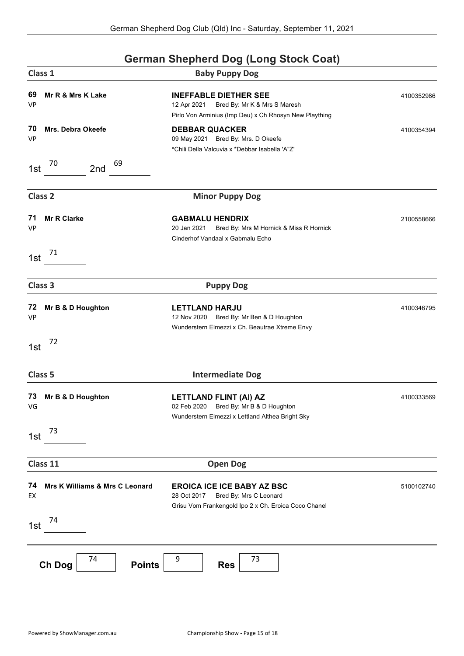## **German Shepherd Dog (Long Stock Coat) Class 1 Baby Puppy Dog 69 Mr R & Mrs K Lake INEFFABLE DIETHER SEE** 4100352986 VP 12 Apr 2021 Bred By: Mr K & Mrs S Maresh Pirlo Von Arminius (Imp Deu) x Ch Rhosyn New Plaything **70 Mrs. Debra Okeefe DEBBAR QUACKER** 4100354394 VP 09 May 2021 Bred By: Mrs. D Okeefe \*Chili Della Valcuvia x \*Debbar Isabella 'A"Z' 1st  $^{70}$  2nd  $^{69}$ **Class 2 Minor Puppy Dog 71 Mr R Clarke GABMALU HENDRIX** 2100558666 VP 20 Jan 2021 Bred By: Mrs M Hornick & Miss R Hornick Cinderhof Vandaal x Gabmalu Echo 1st  $^{71}$ **Class 3 Puppy Dog 72 Mr B & D Houghton LETTLAND HARJU 100346795** VP 12 Nov 2020 Bred By: Mr Ben & D Houghton Wunderstern Elmezzi x Ch. Beautrae Xtreme Envy 1st <sup>72</sup> **Class 5 Intermediate Dog 73 Mr B & D Houghton LETTLAND FLINT (AI) AZ** 4100333569 4100333569 VG 02 Feb 2020 Bred By: Mr B & D Houghton Wunderstern Elmezzi x Lettland Althea Bright Sky 1st  $^{73}$ **Class 11 Open Dog 74 Mrs K Williams & Mrs C Leonard EROICA ICE ICE BABY AZ BSC** 5100102740 EX 28 Oct 2017 Bred By: Mrs C Leonard Grisu Vom Frankengold Ipo 2 x Ch. Eroica Coco Chanel 1st  $^{74}$ **Ch Dog** <sup>74</sup> **Points** <sup>9</sup> **Res** <sup>73</sup>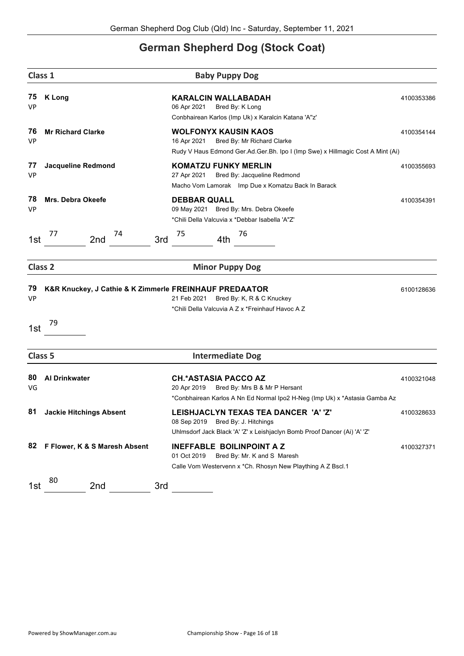### **German Shepherd Dog (Stock Coat)**

| Class 1<br><b>Baby Puppy Dog</b> |                                |                                                                                                                                                            |            |  |
|----------------------------------|--------------------------------|------------------------------------------------------------------------------------------------------------------------------------------------------------|------------|--|
| 75<br><b>VP</b>                  | <b>K</b> Long                  | <b>KARALCIN WALLABADAH</b><br>06 Apr 2021<br>Bred By: K Long<br>Conbhairean Karlos (Imp Uk) x Karalcin Katana 'A"z'                                        | 4100353386 |  |
| 76<br><b>VP</b>                  | <b>Mr Richard Clarke</b>       | <b>WOLFONYX KAUSIN KAOS</b><br>16 Apr 2021<br>Bred By: Mr Richard Clarke<br>Rudy V Haus Edmond Ger.Ad.Ger.Bh. Ipo I (Imp Swe) x Hillmagic Cost A Mint (Ai) | 4100354144 |  |
| 77<br><b>VP</b>                  | <b>Jacqueline Redmond</b>      | <b>KOMATZU FUNKY MERLIN</b><br>27 Apr 2021<br>Bred By: Jacqueline Redmond<br>Macho Vom Lamorak Imp Due x Komatzu Back In Barack                            | 4100355693 |  |
| 78<br><b>VP</b>                  | <b>Mrs. Debra Okeefe</b>       | <b>DEBBAR QUALL</b><br>09 May 2021 Bred By: Mrs. Debra Okeefe<br>*Chili Della Valcuvia x *Debbar Isabella 'A"Z'                                            | 4100354391 |  |
| 1st                              | 74<br>77<br>2nd                | 75<br>76<br>3rd<br>4th                                                                                                                                     |            |  |
| Class <sub>2</sub>               |                                | <b>Minor Puppy Dog</b>                                                                                                                                     |            |  |
| 79<br><b>VP</b>                  |                                | K&R Knuckey, J Cathie & K Zimmerle FREINHAUF PREDAATOR<br>21 Feb 2021<br>Bred By: K, R & C Knuckey<br>*Chili Della Valcuvia A Z x *Freinhauf Havoc A Z     | 6100128636 |  |
| 1st                              | 79                             |                                                                                                                                                            |            |  |
| Class 5                          |                                | <b>Intermediate Dog</b>                                                                                                                                    |            |  |
| 80<br>VG                         | <b>Al Drinkwater</b>           | <b>CH.*ASTASIA PACCO AZ</b><br>20 Apr 2019<br>Bred By: Mrs B & Mr P Hersant<br>*Conbhairean Karlos A Nn Ed Normal Ipo2 H-Neg (Imp Uk) x *Astasia Gamba Az  | 4100321048 |  |
| 81                               | <b>Jackie Hitchings Absent</b> | LEISHJACLYN TEXAS TEA DANCER 'A' 'Z'<br>Bred By: J. Hitchings<br>08 Sep 2019<br>Uhlmsdorf Jack Black 'A' 'Z' x Leishjaclyn Bomb Proof Dancer (Ai) 'A' 'Z'  | 4100328633 |  |
| 82                               | F Flower, K & S Maresh Absent  | <b>INEFFABLE BOILINPOINT A Z</b><br>01 Oct 2019<br>Bred By: Mr. K and S Maresh<br>Calle Vom Westervenn x *Ch. Rhosyn New Plaything A Z Bscl.1              | 4100327371 |  |
| 1st                              | 80<br>2nd                      | 3rd                                                                                                                                                        |            |  |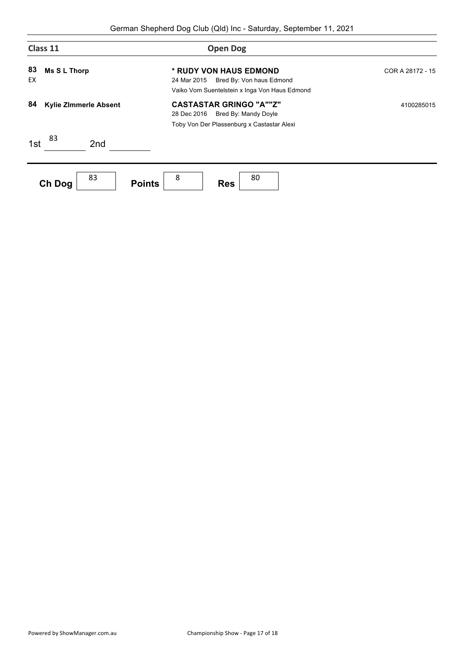| Class 11                           | <b>Open Dog</b>                                                                                                     |                  |
|------------------------------------|---------------------------------------------------------------------------------------------------------------------|------------------|
| 83<br><b>Ms S L Thorp</b><br>EX    | * RUDY VON HAUS EDMOND<br>24 Mar 2015<br>Bred By: Von haus Edmond<br>Vaiko Vom Suentelstein x Inga Von Haus Edmond  | COR A 28172 - 15 |
| 84<br><b>Kylie Zimmerle Absent</b> | <b>CASTASTAR GRINGO "A""Z"</b><br>28 Dec 2016<br>Bred By: Mandy Doyle<br>Toby Von Der Plassenburg x Castastar Alexi | 4100285015       |
| 83<br>1st<br>2 <sub>nd</sub>       |                                                                                                                     |                  |
| 83<br><b>Points</b><br>Ch Dog      | 8<br>80<br><b>Res</b>                                                                                               |                  |